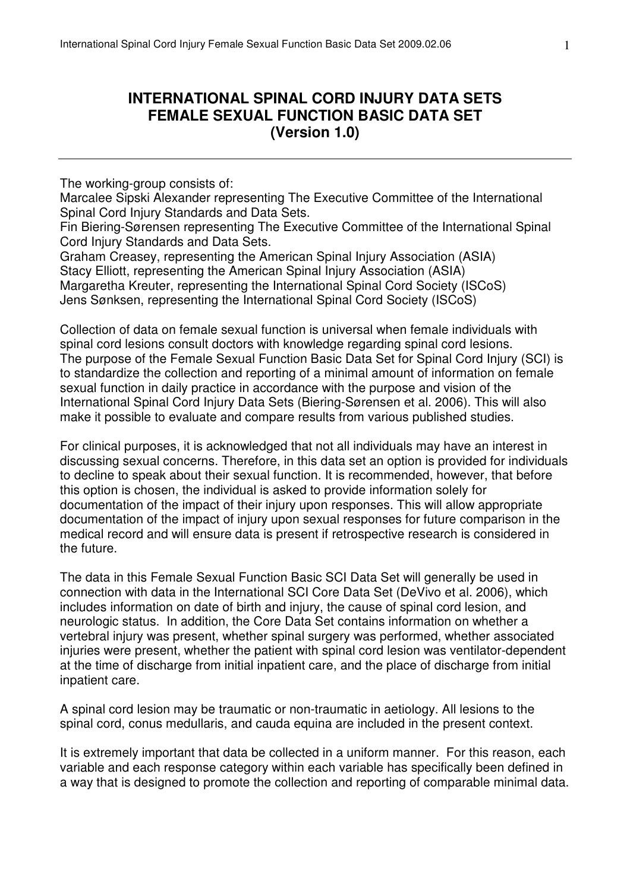## **INTERNATIONAL SPINAL CORD INJURY DATA SETS FEMALE SEXUAL FUNCTION BASIC DATA SET (Version 1.0)**

The working-group consists of:

Marcalee Sipski Alexander representing The Executive Committee of the International Spinal Cord Injury Standards and Data Sets.

Fin Biering-Sørensen representing The Executive Committee of the International Spinal Cord Injury Standards and Data Sets.

Graham Creasey, representing the American Spinal Injury Association (ASIA) Stacy Elliott, representing the American Spinal Injury Association (ASIA) Margaretha Kreuter, representing the International Spinal Cord Society (ISCoS) Jens Sønksen, representing the International Spinal Cord Society (ISCoS)

Collection of data on female sexual function is universal when female individuals with spinal cord lesions consult doctors with knowledge regarding spinal cord lesions. The purpose of the Female Sexual Function Basic Data Set for Spinal Cord Injury (SCI) is to standardize the collection and reporting of a minimal amount of information on female sexual function in daily practice in accordance with the purpose and vision of the International Spinal Cord Injury Data Sets (Biering-Sørensen et al. 2006). This will also make it possible to evaluate and compare results from various published studies.

For clinical purposes, it is acknowledged that not all individuals may have an interest in discussing sexual concerns. Therefore, in this data set an option is provided for individuals to decline to speak about their sexual function. It is recommended, however, that before this option is chosen, the individual is asked to provide information solely for documentation of the impact of their injury upon responses. This will allow appropriate documentation of the impact of injury upon sexual responses for future comparison in the medical record and will ensure data is present if retrospective research is considered in the future.

The data in this Female Sexual Function Basic SCI Data Set will generally be used in connection with data in the International SCI Core Data Set (DeVivo et al. 2006), which includes information on date of birth and injury, the cause of spinal cord lesion, and neurologic status. In addition, the Core Data Set contains information on whether a vertebral injury was present, whether spinal surgery was performed, whether associated injuries were present, whether the patient with spinal cord lesion was ventilator-dependent at the time of discharge from initial inpatient care, and the place of discharge from initial inpatient care.

A spinal cord lesion may be traumatic or non-traumatic in aetiology. All lesions to the spinal cord, conus medullaris, and cauda equina are included in the present context.

It is extremely important that data be collected in a uniform manner. For this reason, each variable and each response category within each variable has specifically been defined in a way that is designed to promote the collection and reporting of comparable minimal data.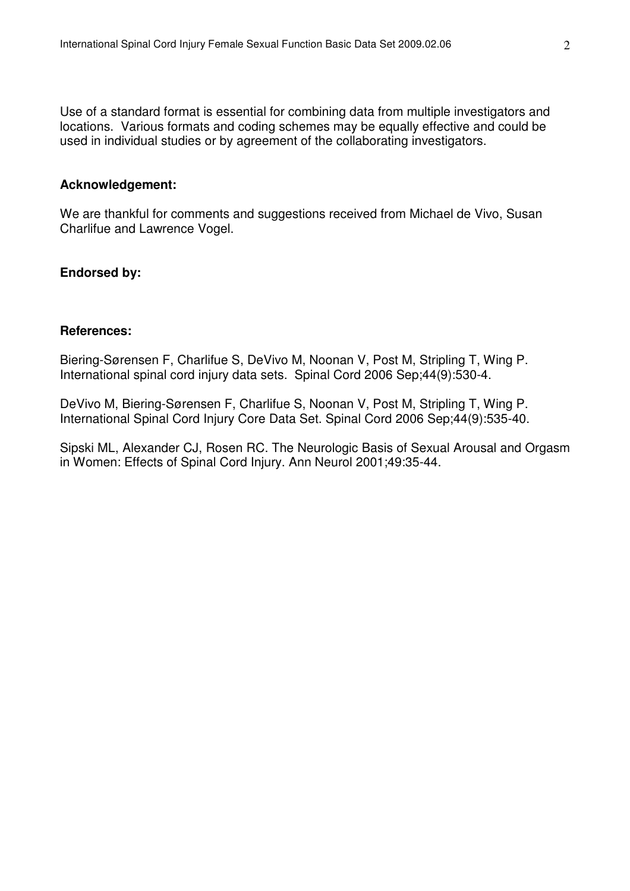Use of a standard format is essential for combining data from multiple investigators and locations. Various formats and coding schemes may be equally effective and could be used in individual studies or by agreement of the collaborating investigators.

#### **Acknowledgement:**

We are thankful for comments and suggestions received from Michael de Vivo, Susan Charlifue and Lawrence Vogel.

## **Endorsed by:**

## **References:**

Biering-Sørensen F, Charlifue S, DeVivo M, Noonan V, Post M, Stripling T, Wing P. International spinal cord injury data sets. Spinal Cord 2006 Sep;44(9):530-4.

DeVivo M, Biering-Sørensen F, Charlifue S, Noonan V, Post M, Stripling T, Wing P. International Spinal Cord Injury Core Data Set. Spinal Cord 2006 Sep;44(9):535-40.

Sipski ML, Alexander CJ, Rosen RC. The Neurologic Basis of Sexual Arousal and Orgasm in Women: Effects of Spinal Cord Injury. Ann Neurol 2001;49:35-44.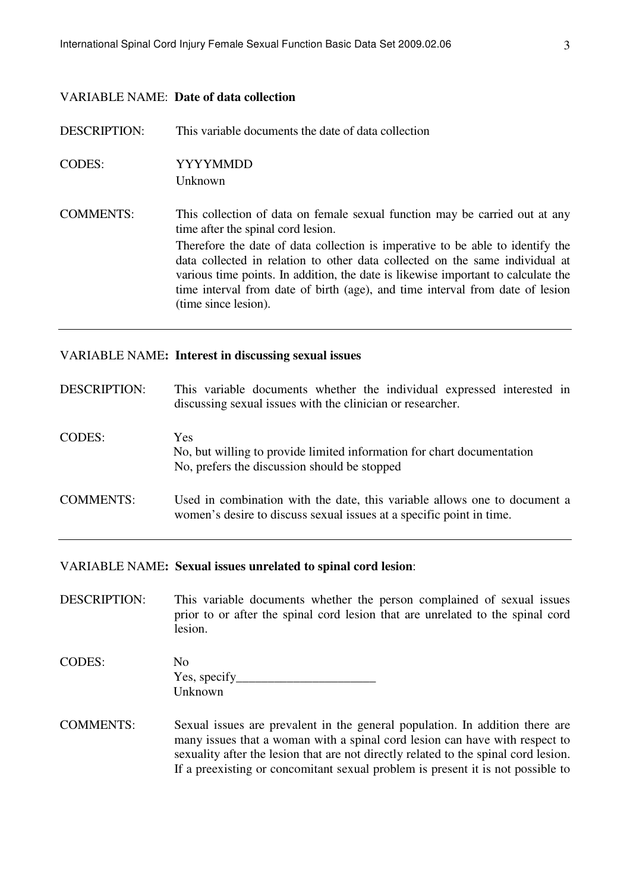#### VARIABLE NAME: **Date of data collection**

DESCRIPTION: This variable documents the date of data collection CODES: YYYYMMDD Unknown COMMENTS: This collection of data on female sexual function may be carried out at any time after the spinal cord lesion. Therefore the date of data collection is imperative to be able to identify the data collected in relation to other data collected on the same individual at various time points. In addition, the date is likewise important to calculate the time interval from date of birth (age), and time interval from date of lesion (time since lesion).

## VARIABLE NAME**: Interest in discussing sexual issues**

| <b>DESCRIPTION:</b> | This variable documents whether the individual expressed interested in<br>discussing sexual issues with the clinician or researcher.              |  |  |  |  |  |
|---------------------|---------------------------------------------------------------------------------------------------------------------------------------------------|--|--|--|--|--|
| <b>CODES:</b>       | <b>Yes</b><br>No, but willing to provide limited information for chart documentation<br>No, prefers the discussion should be stopped              |  |  |  |  |  |
| <b>COMMENTS:</b>    | Used in combination with the date, this variable allows one to document a<br>women's desire to discuss sexual issues at a specific point in time. |  |  |  |  |  |

#### VARIABLE NAME**: Sexual issues unrelated to spinal cord lesion**:

DESCRIPTION: This variable documents whether the person complained of sexual issues prior to or after the spinal cord lesion that are unrelated to the spinal cord lesion.

| CODES: | No           |
|--------|--------------|
|        | Yes, specify |
|        | Unknown      |

COMMENTS: Sexual issues are prevalent in the general population. In addition there are many issues that a woman with a spinal cord lesion can have with respect to sexuality after the lesion that are not directly related to the spinal cord lesion. If a preexisting or concomitant sexual problem is present it is not possible to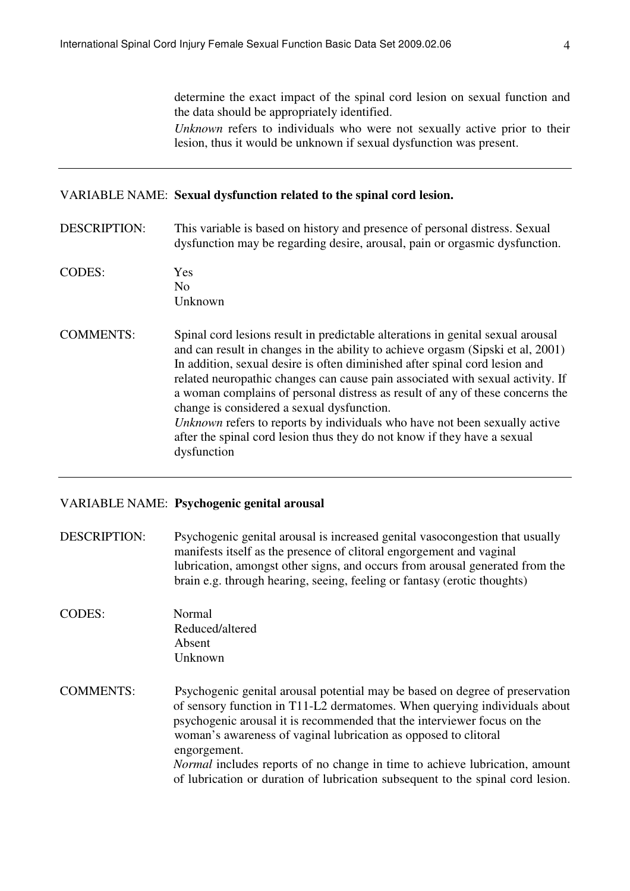determine the exact impact of the spinal cord lesion on sexual function and the data should be appropriately identified.

*Unknown* refers to individuals who were not sexually active prior to their lesion, thus it would be unknown if sexual dysfunction was present.

#### VARIABLE NAME: **Sexual dysfunction related to the spinal cord lesion.**

- DESCRIPTION: This variable is based on history and presence of personal distress. Sexual dysfunction may be regarding desire, arousal, pain or orgasmic dysfunction.
- CODES: Yes No Unknown
- COMMENTS: Spinal cord lesions result in predictable alterations in genital sexual arousal and can result in changes in the ability to achieve orgasm (Sipski et al, 2001) In addition, sexual desire is often diminished after spinal cord lesion and related neuropathic changes can cause pain associated with sexual activity. If a woman complains of personal distress as result of any of these concerns the change is considered a sexual dysfunction. *Unknown* refers to reports by individuals who have not been sexually active after the spinal cord lesion thus they do not know if they have a sexual dysfunction

## VARIABLE NAME: **Psychogenic genital arousal**

DESCRIPTION: Psychogenic genital arousal is increased genital vasocongestion that usually manifests itself as the presence of clitoral engorgement and vaginal lubrication, amongst other signs, and occurs from arousal generated from the brain e.g. through hearing, seeing, feeling or fantasy (erotic thoughts)

- CODES: Normal Reduced/altered Absent Unknown
- COMMENTS: Psychogenic genital arousal potential may be based on degree of preservation of sensory function in T11-L2 dermatomes. When querying individuals about psychogenic arousal it is recommended that the interviewer focus on the woman's awareness of vaginal lubrication as opposed to clitoral engorgement. *Normal* includes reports of no change in time to achieve lubrication, amount of lubrication or duration of lubrication subsequent to the spinal cord lesion.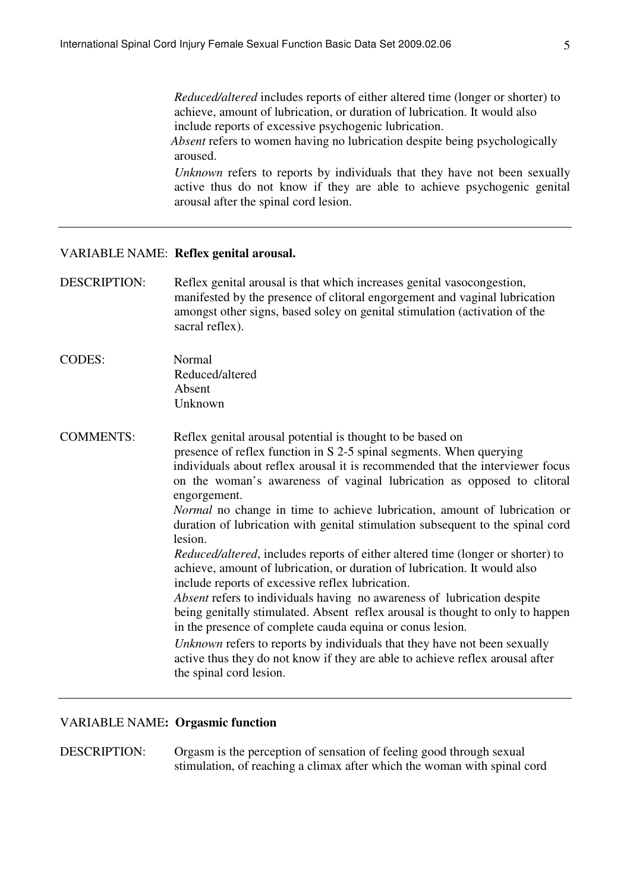*Reduced/altered* includes reports of either altered time (longer or shorter) to achieve, amount of lubrication, or duration of lubrication. It would also include reports of excessive psychogenic lubrication.  *Absent* refers to women having no lubrication despite being psychologically aroused.

*Unknown* refers to reports by individuals that they have not been sexually active thus do not know if they are able to achieve psychogenic genital arousal after the spinal cord lesion.

#### VARIABLE NAME: **Reflex genital arousal.**

DESCRIPTION: Reflex genital arousal is that which increases genital vasocongestion, manifested by the presence of clitoral engorgement and vaginal lubrication amongst other signs, based soley on genital stimulation (activation of the sacral reflex).

CODES: Normal Reduced/altered Absent Unknown

COMMENTS: Reflex genital arousal potential is thought to be based on presence of reflex function in S 2-5 spinal segments. When querying individuals about reflex arousal it is recommended that the interviewer focus on the woman's awareness of vaginal lubrication as opposed to clitoral engorgement. *Normal* no change in time to achieve lubrication, amount of lubrication or duration of lubrication with genital stimulation subsequent to the spinal cord lesion.  *Reduced/altered*, includes reports of either altered time (longer or shorter) to achieve, amount of lubrication, or duration of lubrication. It would also include reports of excessive reflex lubrication.

> *Absent* refers to individuals having no awareness of lubrication despite being genitally stimulated. Absent reflex arousal is thought to only to happen in the presence of complete cauda equina or conus lesion.

*Unknown* refers to reports by individuals that they have not been sexually active thus they do not know if they are able to achieve reflex arousal after the spinal cord lesion.

## VARIABLE NAME**: Orgasmic function**

DESCRIPTION: Orgasm is the perception of sensation of feeling good through sexual stimulation, of reaching a climax after which the woman with spinal cord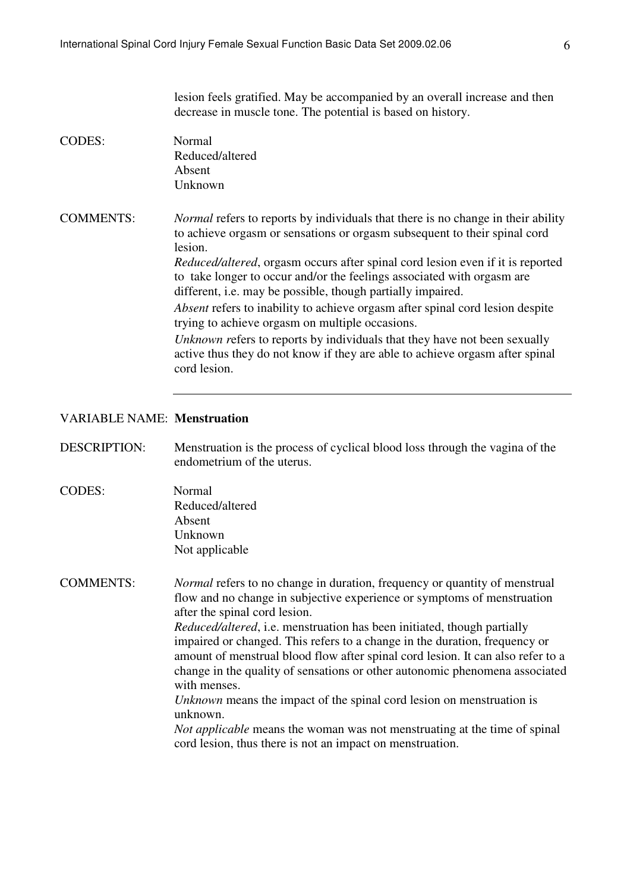lesion feels gratified. May be accompanied by an overall increase and then decrease in muscle tone. The potential is based on history. CODES: Normal Reduced/altered Absent Unknown COMMENTS: *Normal* refers to reports by individuals that there is no change in their ability to achieve orgasm or sensations or orgasm subsequent to their spinal cord lesion. *Reduced/altered*, orgasm occurs after spinal cord lesion even if it is reported to take longer to occur and/or the feelings associated with orgasm are different, i.e. may be possible, though partially impaired. *Absent* refers to inability to achieve orgasm after spinal cord lesion despite trying to achieve orgasm on multiple occasions. *Unknown r*efers to reports by individuals that they have not been sexually active thus they do not know if they are able to achieve orgasm after spinal cord lesion.

#### VARIABLE NAME: **Menstruation**

DESCRIPTION: Menstruation is the process of cyclical blood loss through the vagina of the endometrium of the uterus.

CODES: Normal Reduced/altered Absent Unknown Not applicable

COMMENTS: *Normal* refers to no change in duration, frequency or quantity of menstrual flow and no change in subjective experience or symptoms of menstruation after the spinal cord lesion.

> *Reduced/altered*, i.e. menstruation has been initiated, though partially impaired or changed. This refers to a change in the duration, frequency or amount of menstrual blood flow after spinal cord lesion. It can also refer to a change in the quality of sensations or other autonomic phenomena associated with menses.

*Unknown* means the impact of the spinal cord lesion on menstruation is unknown.

*Not applicable* means the woman was not menstruating at the time of spinal cord lesion, thus there is not an impact on menstruation.